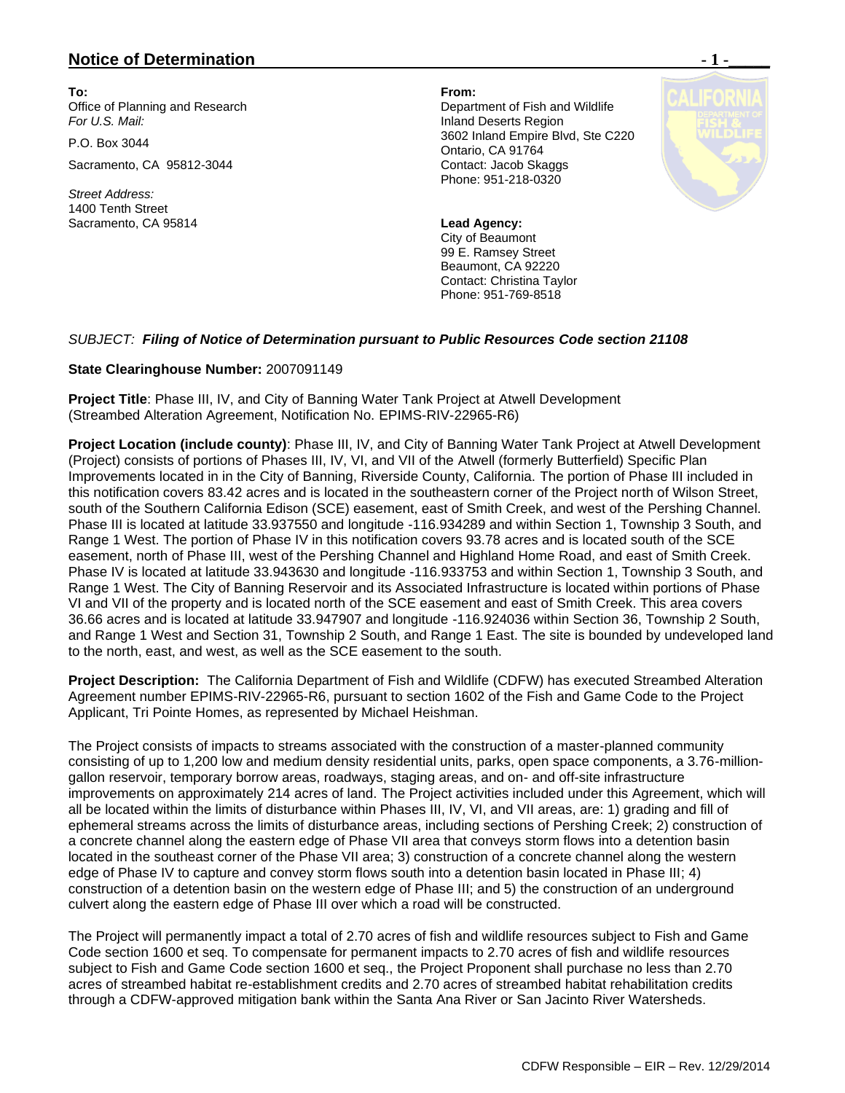## **Notice of Determination**  $\blacksquare$  **1 -**

**To: From:**  Office of Planning and Research **Department of Fish and Wildlife** *For U.S. Mail:* Inland Deserts Region

Sacramento, CA 95812-3044 Contact: Jacob Skaggs

*Street Address:* 1400 Tenth Street Sacramento, CA 95814 **Lead Agency:**

P.O. Box 3044 3602 Inland Empire Blvd, Ste C220 Ontario, CA 91764 Phone: 951-218-0320

> City of Beaumont 99 E. Ramsey Street Beaumont, CA 92220 Contact: Christina Taylor Phone: 951-769-8518

## *SUBJECT: Filing of Notice of Determination pursuant to Public Resources Code section 21108*

## **State Clearinghouse Number:** 2007091149

**Project Title**: Phase III, IV, and City of Banning Water Tank Project at Atwell Development (Streambed Alteration Agreement, Notification No. EPIMS-RIV-22965-R6)

**Project Location (include county)**: Phase III, IV, and City of Banning Water Tank Project at Atwell Development (Project) consists of portions of Phases III, IV, VI, and VII of the Atwell (formerly Butterfield) Specific Plan Improvements located in in the City of Banning, Riverside County, California. The portion of Phase III included in this notification covers 83.42 acres and is located in the southeastern corner of the Project north of Wilson Street, south of the Southern California Edison (SCE) easement, east of Smith Creek, and west of the Pershing Channel. Phase III is located at latitude 33.937550 and longitude -116.934289 and within Section 1, Township 3 South, and Range 1 West. The portion of Phase IV in this notification covers 93.78 acres and is located south of the SCE easement, north of Phase III, west of the Pershing Channel and Highland Home Road, and east of Smith Creek. Phase IV is located at latitude 33.943630 and longitude -116.933753 and within Section 1, Township 3 South, and Range 1 West. The City of Banning Reservoir and its Associated Infrastructure is located within portions of Phase VI and VII of the property and is located north of the SCE easement and east of Smith Creek. This area covers 36.66 acres and is located at latitude 33.947907 and longitude -116.924036 within Section 36, Township 2 South, and Range 1 West and Section 31, Township 2 South, and Range 1 East. The site is bounded by undeveloped land to the north, east, and west, as well as the SCE easement to the south.

**Project Description:** The California Department of Fish and Wildlife (CDFW) has executed Streambed Alteration Agreement number EPIMS-RIV-22965-R6, pursuant to section 1602 of the Fish and Game Code to the Project Applicant, Tri Pointe Homes, as represented by Michael Heishman.

The Project consists of impacts to streams associated with the construction of a master-planned community consisting of up to 1,200 low and medium density residential units, parks, open space components, a 3.76-milliongallon reservoir, temporary borrow areas, roadways, staging areas, and on- and off-site infrastructure improvements on approximately 214 acres of land. The Project activities included under this Agreement, which will all be located within the limits of disturbance within Phases III, IV, VI, and VII areas, are: 1) grading and fill of ephemeral streams across the limits of disturbance areas, including sections of Pershing Creek; 2) construction of a concrete channel along the eastern edge of Phase VII area that conveys storm flows into a detention basin located in the southeast corner of the Phase VII area; 3) construction of a concrete channel along the western edge of Phase IV to capture and convey storm flows south into a detention basin located in Phase III; 4) construction of a detention basin on the western edge of Phase III; and 5) the construction of an underground culvert along the eastern edge of Phase III over which a road will be constructed.

The Project will permanently impact a total of 2.70 acres of fish and wildlife resources subject to Fish and Game Code section 1600 et seq. To compensate for permanent impacts to 2.70 acres of fish and wildlife resources subject to Fish and Game Code section 1600 et seq., the Project Proponent shall purchase no less than 2.70 acres of streambed habitat re-establishment credits and 2.70 acres of streambed habitat rehabilitation credits through a CDFW-approved mitigation bank within the Santa Ana River or San Jacinto River Watersheds.